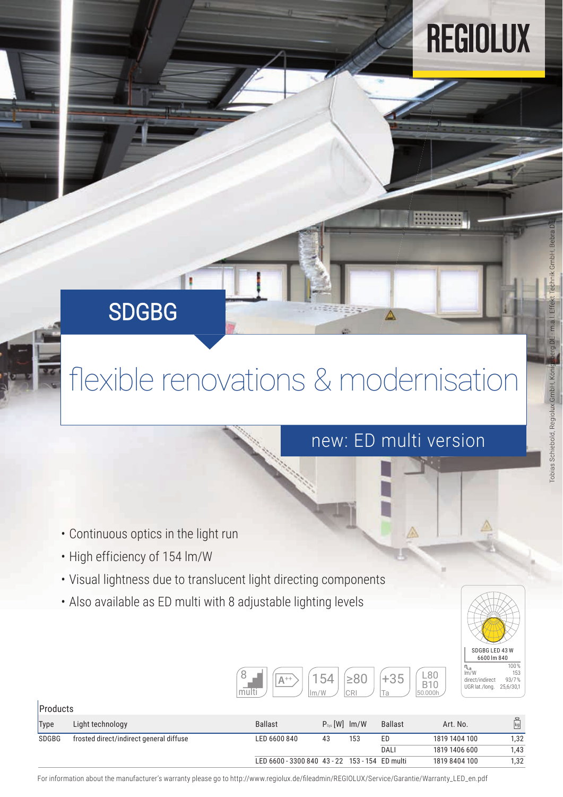# REGIOLUX

#### SDGBG

### flexible renovations & modernisation

#### new: ED multi version

- Continuous optics in the light run
- High efficiency of 154 lm/W
- Visual lightness due to translucent light directing components
- Also available as ED multi with 8 adjustable lighting levels

| multi | state and the | -       | ٢l |        | ∺<br>U  |
|-------|---------------|---------|----|--------|---------|
|       |               | 'W<br>m | ப  | я<br>∼ | 50.000h |



| Products    |                                         |                                                |                      |     |                |               |                      |
|-------------|-----------------------------------------|------------------------------------------------|----------------------|-----|----------------|---------------|----------------------|
| <b>Type</b> | Light technology                        | <b>Ballast</b>                                 | $P_{sys}$ [W] $Im/W$ |     | <b>Ballast</b> | Art. No.      | $\mathbb{F}_{q}^{2}$ |
| SDGBG       | frosted direct/indirect general diffuse | LED 6600 840                                   | 43                   | 153 | ED             | 1819 1404 100 | 1.32                 |
|             |                                         |                                                |                      |     | DALI           | 1819 1406 600 | 1,43                 |
|             |                                         | LED 6600 - 3300 840 43 - 22 153 - 154 ED multi |                      |     |                | 1819 8404 100 | 1.32                 |

For information about the manufacturer's warranty please go to http://www.regiolux.de/fileadmin/REGIOLUX/Service/Garantie/Warranty\_LED\_en.pdf